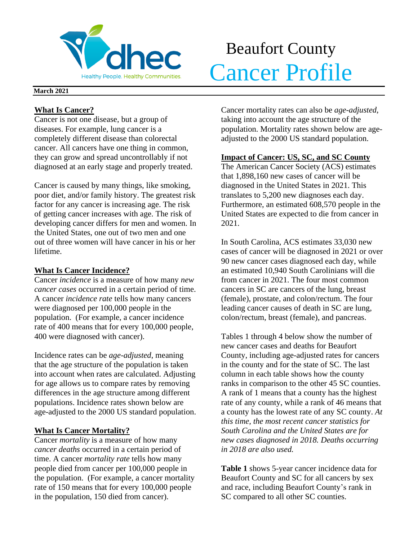

# Beaufort County **Volhec** Deauton County

### **March 2021**

## **What Is Cancer?**

Cancer is not one disease, but a group of diseases. For example, lung cancer is a completely different disease than colorectal cancer. All cancers have one thing in common, they can grow and spread uncontrollably if not diagnosed at an early stage and properly treated.

Cancer is caused by many things, like smoking, poor diet, and/or family history. The greatest risk factor for any cancer is increasing age. The risk of getting cancer increases with age. The risk of developing cancer differs for men and women. In the United States, one out of two men and one out of three women will have cancer in his or her lifetime.

## **What Is Cancer Incidence?**

Cancer *incidence* is a measure of how many *new cancer cases* occurred in a certain period of time. A cancer *incidence rate* tells how many cancers were diagnosed per 100,000 people in the population. (For example, a cancer incidence rate of 400 means that for every 100,000 people, 400 were diagnosed with cancer).

Incidence rates can be *age-adjusted*, meaning that the age structure of the population is taken into account when rates are calculated. Adjusting for age allows us to compare rates by removing differences in the age structure among different populations. Incidence rates shown below are age-adjusted to the 2000 US standard population.

## **What Is Cancer Mortality?**

Cancer *mortality* is a measure of how many *cancer deaths* occurred in a certain period of time. A cancer *mortality rate* tells how many people died from cancer per 100,000 people in the population. (For example, a cancer mortality rate of 150 means that for every 100,000 people in the population, 150 died from cancer).

Cancer mortality rates can also be *age-adjusted*, taking into account the age structure of the population. Mortality rates shown below are ageadjusted to the 2000 US standard population.

## **Impact of Cancer: US, SC, and SC County**

The American Cancer Society (ACS) estimates that 1,898,160 new cases of cancer will be diagnosed in the United States in 2021. This translates to 5,200 new diagnoses each day. Furthermore, an estimated 608,570 people in the United States are expected to die from cancer in 2021.

In South Carolina, ACS estimates 33,030 new cases of cancer will be diagnosed in 2021 or over 90 new cancer cases diagnosed each day, while an estimated 10,940 South Carolinians will die from cancer in 2021. The four most common cancers in SC are cancers of the lung, breast (female), prostate, and colon/rectum. The four leading cancer causes of death in SC are lung, colon/rectum, breast (female), and pancreas.

Tables 1 through 4 below show the number of new cancer cases and deaths for Beaufort County, including age-adjusted rates for cancers in the county and for the state of SC. The last column in each table shows how the county ranks in comparison to the other 45 SC counties. A rank of 1 means that a county has the highest rate of any county, while a rank of 46 means that a county has the lowest rate of any SC county. *At this time, the most recent cancer statistics for South Carolina and the United States are for new cases diagnosed in 2018. Deaths occurring in 2018 are also used.*

**Table 1** shows 5-year cancer incidence data for Beaufort County and SC for all cancers by sex and race, including Beaufort County's rank in SC compared to all other SC counties.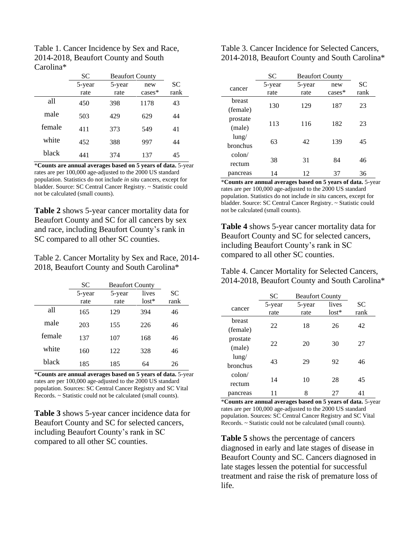| Table 1. Cancer Incidence by Sex and Race, |
|--------------------------------------------|
| 2014-2018, Beaufort County and South       |
| Carolina <sup>*</sup>                      |

|        | SС     | <b>Beaufort County</b> |           |           |
|--------|--------|------------------------|-----------|-----------|
|        | 5-year | 5-year                 | new       | <b>SC</b> |
|        | rate   | rate                   | $cases^*$ | rank      |
| all    | 450    | 398                    | 1178      | 43        |
| male   | 503    | 429                    | 629       | 44        |
| female | 411    | 373                    | 549       | 41        |
| white  | 452    | 388                    | 997       | 44        |
| black  | 441    | 374                    | 137       | 45        |

\***Counts are annual averages based on 5 years of data.** 5-year rates are per 100,000 age-adjusted to the 2000 US standard population. Statistics do not include *in situ* cancers, except for bladder. Source: SC Central Cancer Registry. ~ Statistic could not be calculated (small counts).

**Table 2** shows 5-year cancer mortality data for Beaufort County and SC for all cancers by sex and race, including Beaufort County's rank in SC compared to all other SC counties.

Table 2. Cancer Mortality by Sex and Race, 2014- 2018, Beaufort County and South Carolina\*

|        | <b>SC</b> | <b>Beaufort County</b> |         |           |
|--------|-----------|------------------------|---------|-----------|
|        | 5-year    | 5-year                 | lives   | <b>SC</b> |
|        | rate      | rate                   | $lost*$ | rank      |
| all    | 165       | 129                    | 394     | 46        |
| male   | 203       | 155                    | 226     | 46        |
| female | 137       | 107                    | 168     | 46        |
| white  | 160       | 122                    | 328     | 46        |
| black  | 185       | 185                    | 64      | 26        |

\***Counts are annual averages based on 5 years of data.** 5-year rates are per 100,000 age-adjusted to the 2000 US standard population. Sources: SC Central Cancer Registry and SC Vital Records. ~ Statistic could not be calculated (small counts).

**Table 3** shows 5-year cancer incidence data for Beaufort County and SC for selected cancers, including Beaufort County's rank in SC compared to all other SC counties.

Table 3. Cancer Incidence for Selected Cancers, 2014-2018, Beaufort County and South Carolina\*

|                 | <b>SC</b> | <b>Beaufort County</b> |           |      |
|-----------------|-----------|------------------------|-----------|------|
| cancer          | 5-year    | 5-year                 | new       | SС   |
|                 | rate      | rate                   | $cases^*$ | rank |
| breast          |           |                        |           |      |
| (female)        | 130       | 129                    | 187       | 23   |
| prostate        |           | 116                    |           |      |
| (male)          | 113       |                        | 182       | 23   |
| $l$ ung/        |           |                        |           |      |
| bronchus        | 63        | 42                     | 139       | 45   |
| $\text{colon}/$ |           |                        |           |      |
| rectum          | 38        | 31                     | 84        | 46   |
| pancreas        | 14        | 12                     | 37        | 36   |

\***Counts are annual averages based on 5 years of data.** 5-year rates are per 100,000 age-adjusted to the 2000 US standard population. Statistics do not include *in situ* cancers, except for bladder. Source: SC Central Cancer Registry. ~ Statistic could not be calculated (small counts).

**Table 4** shows 5-year cancer mortality data for Beaufort County and SC for selected cancers, including Beaufort County's rank in SC compared to all other SC counties.

Table 4. Cancer Mortality for Selected Cancers, 2014-2018, Beaufort County and South Carolina\*

|                 | SС     | <b>Beaufort County</b> |         |           |
|-----------------|--------|------------------------|---------|-----------|
| cancer          | 5-year | 5-year                 | lives   | <b>SC</b> |
|                 | rate   | rate                   | $lost*$ | rank      |
| breast          |        |                        |         |           |
| (female)        | 22     | 18                     | 26      | 42        |
| prostate        |        |                        |         |           |
| (male)          | 22     | 20                     | 30      | 27        |
| lung/           |        |                        |         |           |
| bronchus        | 43     | 29                     | 92      | 46        |
| $\text{colon}/$ |        |                        |         |           |
| rectum          | 14     | 10                     | 28      | 45        |
| pancreas        | 11     | 8                      | 27      | 41        |

\***Counts are annual averages based on 5 years of data.** 5-year rates are per 100,000 age-adjusted to the 2000 US standard population. Sources: SC Central Cancer Registry and SC Vital Records. ~ Statistic could not be calculated (small counts).

**Table 5** shows the percentage of cancers diagnosed in early and late stages of disease in Beaufort County and SC. Cancers diagnosed in late stages lessen the potential for successful treatment and raise the risk of premature loss of life.